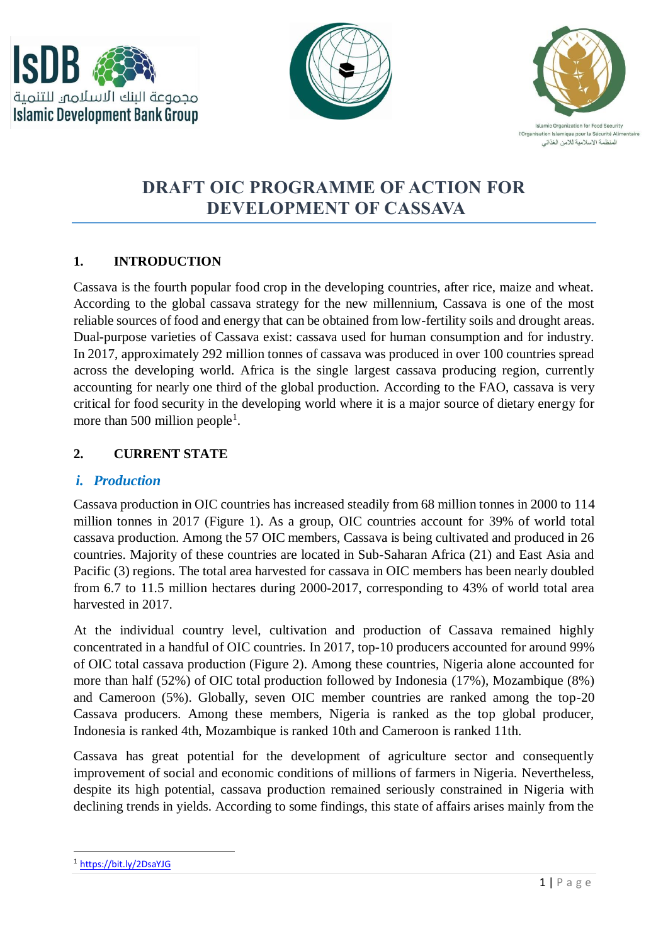





# **DRAFT OIC PROGRAMME OF ACTION FOR DEVELOPMENT OF CASSAVA**

### **1. INTRODUCTION**

Cassava is the fourth popular food crop in the developing countries, after rice, maize and wheat. According to the global cassava strategy for the new millennium, Cassava is one of the most reliable sources of food and energy that can be obtained from low-fertility soils and drought areas. Dual-purpose varieties of Cassava exist: cassava used for human consumption and for industry. In 2017, approximately 292 million tonnes of cassava was produced in over 100 countries spread across the developing world. Africa is the single largest cassava producing region, currently accounting for nearly one third of the global production. According to the FAO, cassava is very critical for food security in the developing world where it is a major source of dietary energy for more than 500 million people<sup>1</sup>.

#### **2. CURRENT STATE**

#### *i. Production*

Cassava production in OIC countries has increased steadily from 68 million tonnes in 2000 to 114 million tonnes in 2017 (Figure 1). As a group, OIC countries account for 39% of world total cassava production. Among the 57 OIC members, Cassava is being cultivated and produced in 26 countries. Majority of these countries are located in Sub-Saharan Africa (21) and East Asia and Pacific (3) regions. The total area harvested for cassava in OIC members has been nearly doubled from 6.7 to 11.5 million hectares during 2000-2017, corresponding to 43% of world total area harvested in 2017.

At the individual country level, cultivation and production of Cassava remained highly concentrated in a handful of OIC countries. In 2017, top-10 producers accounted for around 99% of OIC total cassava production (Figure 2). Among these countries, Nigeria alone accounted for more than half (52%) of OIC total production followed by Indonesia (17%), Mozambique (8%) and Cameroon (5%). Globally, seven OIC member countries are ranked among the top-20 Cassava producers. Among these members, Nigeria is ranked as the top global producer, Indonesia is ranked 4th, Mozambique is ranked 10th and Cameroon is ranked 11th.

Cassava has great potential for the development of agriculture sector and consequently improvement of social and economic conditions of millions of farmers in Nigeria. Nevertheless, despite its high potential, cassava production remained seriously constrained in Nigeria with declining trends in yields. According to some findings, this state of affairs arises mainly from the

<sup>1</sup> <https://bit.ly/2DsaYJG>

 $\overline{a}$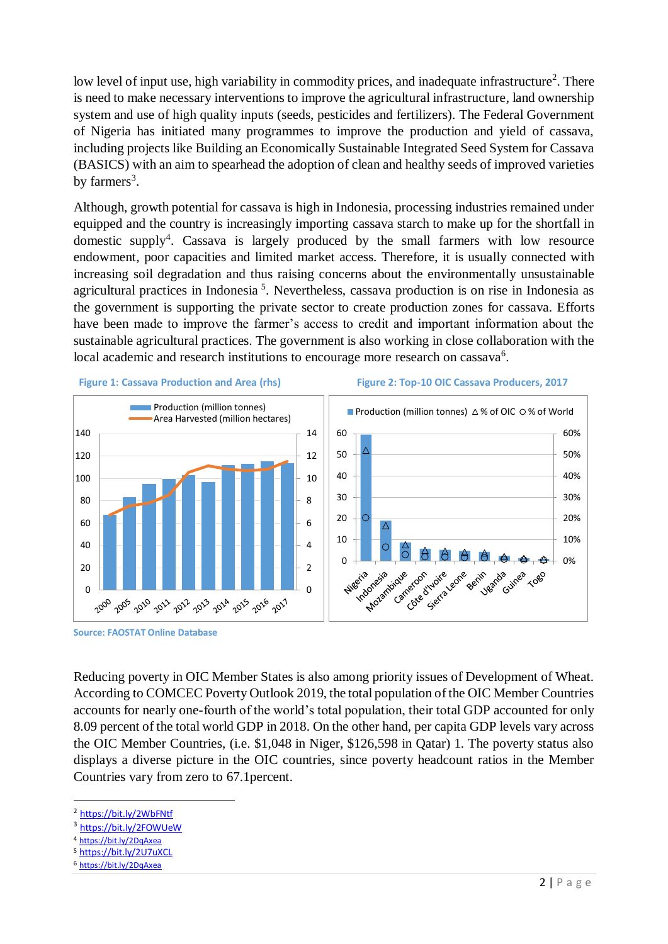low level of input use, high variability in commodity prices, and inadequate infrastructure<sup>2</sup>. There is need to make necessary interventions to improve the agricultural infrastructure, land ownership system and use of high quality inputs (seeds, pesticides and fertilizers). The Federal Government of Nigeria has initiated many programmes to improve the production and yield of cassava, including projects like Building an Economically Sustainable Integrated Seed System for Cassava (BASICS) with an aim to spearhead the adoption of clean and healthy seeds of improved varieties by farmers<sup>3</sup>.

Although, growth potential for cassava is high in Indonesia, processing industries remained under equipped and the country is increasingly importing cassava starch to make up for the shortfall in domestic supply<sup>4</sup>. Cassava is largely produced by the small farmers with low resource endowment, poor capacities and limited market access. Therefore, it is usually connected with increasing soil degradation and thus raising concerns about the environmentally unsustainable agricultural practices in Indonesia<sup>5</sup>. Nevertheless, cassava production is on rise in Indonesia as the government is supporting the private sector to create production zones for cassava. Efforts have been made to improve the farmer's access to credit and important information about the sustainable agricultural practices. The government is also working in close collaboration with the local academic and research institutions to encourage more research on cassava<sup>6</sup>.



**Source: FAOSTAT Online Database**

Reducing poverty in OIC Member States is also among priority issues of Development of Wheat. According to COMCEC Poverty Outlook 2019, the total population of the OIC Member Countries accounts for nearly one-fourth of the world's total population, their total GDP accounted for only 8.09 percent of the total world GDP in 2018. On the other hand, per capita GDP levels vary across the OIC Member Countries, (i.e. \$1,048 in Niger, \$126,598 in Qatar) 1. The poverty status also displays a diverse picture in the OIC countries, since poverty headcount ratios in the Member Countries vary from zero to 67.1percent.

1

<sup>&</sup>lt;sup>2</sup> <https://bit.ly/2WbFNtf>

<sup>&</sup>lt;sup>3</sup> <https://bit.ly/2FOWUeW>

<sup>4</sup> <https://bit.ly/2DqAxea>

<sup>5</sup> <https://bit.ly/2U7uXCL>

<sup>6</sup> <https://bit.ly/2DqAxea>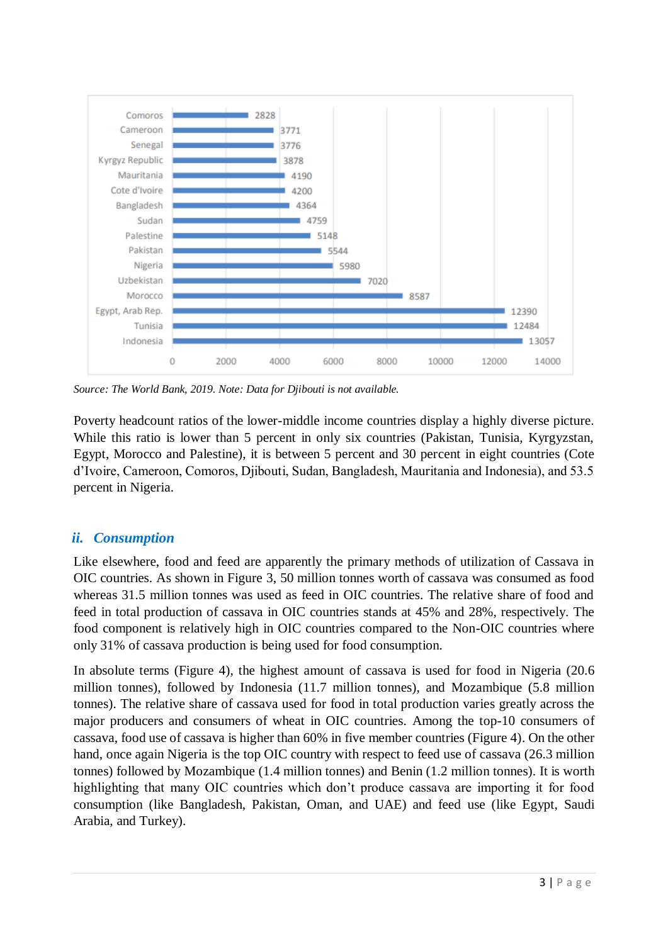

*Source: The World Bank, 2019. Note: Data for Djibouti is not available.* 

Poverty headcount ratios of the lower-middle income countries display a highly diverse picture. While this ratio is lower than 5 percent in only six countries (Pakistan, Tunisia, Kyrgyzstan, Egypt, Morocco and Palestine), it is between 5 percent and 30 percent in eight countries (Cote d'Ivoire, Cameroon, Comoros, Djibouti, Sudan, Bangladesh, Mauritania and Indonesia), and 53.5 percent in Nigeria.

### *ii. Consumption*

Like elsewhere, food and feed are apparently the primary methods of utilization of Cassava in OIC countries. As shown in Figure 3, 50 million tonnes worth of cassava was consumed as food whereas 31.5 million tonnes was used as feed in OIC countries. The relative share of food and feed in total production of cassava in OIC countries stands at 45% and 28%, respectively. The food component is relatively high in OIC countries compared to the Non-OIC countries where only 31% of cassava production is being used for food consumption.

In absolute terms (Figure 4), the highest amount of cassava is used for food in Nigeria (20.6 million tonnes), followed by Indonesia (11.7 million tonnes), and Mozambique (5.8 million tonnes). The relative share of cassava used for food in total production varies greatly across the major producers and consumers of wheat in OIC countries. Among the top-10 consumers of cassava, food use of cassava is higher than 60% in five member countries (Figure 4). On the other hand, once again Nigeria is the top OIC country with respect to feed use of cassava (26.3 million tonnes) followed by Mozambique (1.4 million tonnes) and Benin (1.2 million tonnes). It is worth highlighting that many OIC countries which don't produce cassava are importing it for food consumption (like Bangladesh, Pakistan, Oman, and UAE) and feed use (like Egypt, Saudi Arabia, and Turkey).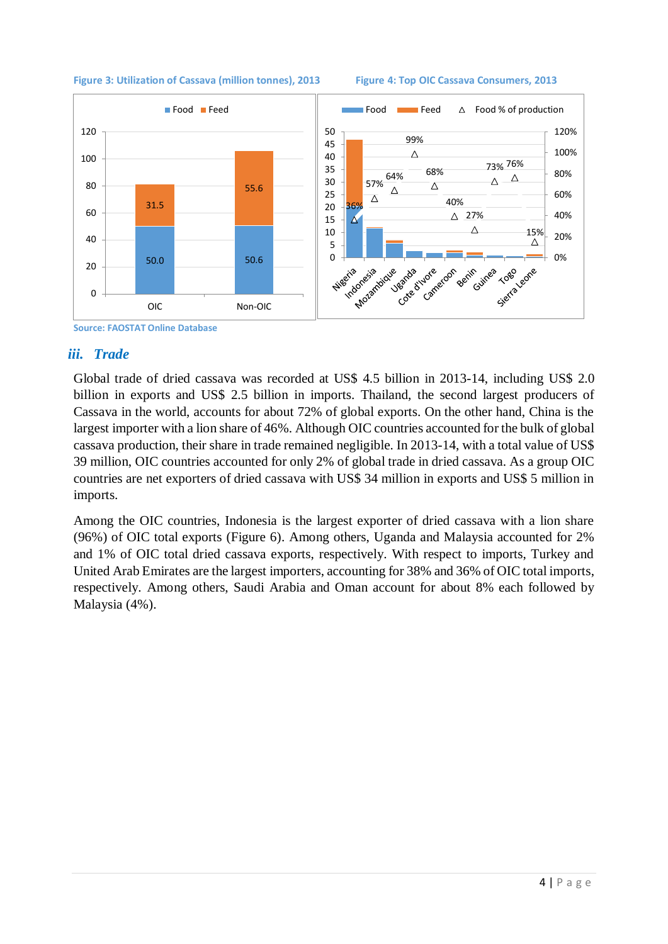

#### Figure 3: Utilization of Cassava (million tonnes), 2013 Figure 4: Top OIC Cassava Consumers, 2013



# **Source: FAOSTAT Online Database**

#### *iii. Trade*

Global trade of dried cassava was recorded at US\$ 4.5 billion in 2013-14, including US\$ 2.0 billion in exports and US\$ 2.5 billion in imports. Thailand, the second largest producers of Cassava in the world, accounts for about 72% of global exports. On the other hand, China is the largest importer with a lion share of 46%. Although OIC countries accounted for the bulk of global cassava production, their share in trade remained negligible. In 2013-14, with a total value of US\$ 39 million, OIC countries accounted for only 2% of global trade in dried cassava. As a group OIC countries are net exporters of dried cassava with US\$ 34 million in exports and US\$ 5 million in imports.

Among the OIC countries, Indonesia is the largest exporter of dried cassava with a lion share (96%) of OIC total exports (Figure 6). Among others, Uganda and Malaysia accounted for 2% and 1% of OIC total dried cassava exports, respectively. With respect to imports, Turkey and United Arab Emirates are the largest importers, accounting for 38% and 36% of OIC total imports, respectively. Among others, Saudi Arabia and Oman account for about 8% each followed by Malaysia (4%).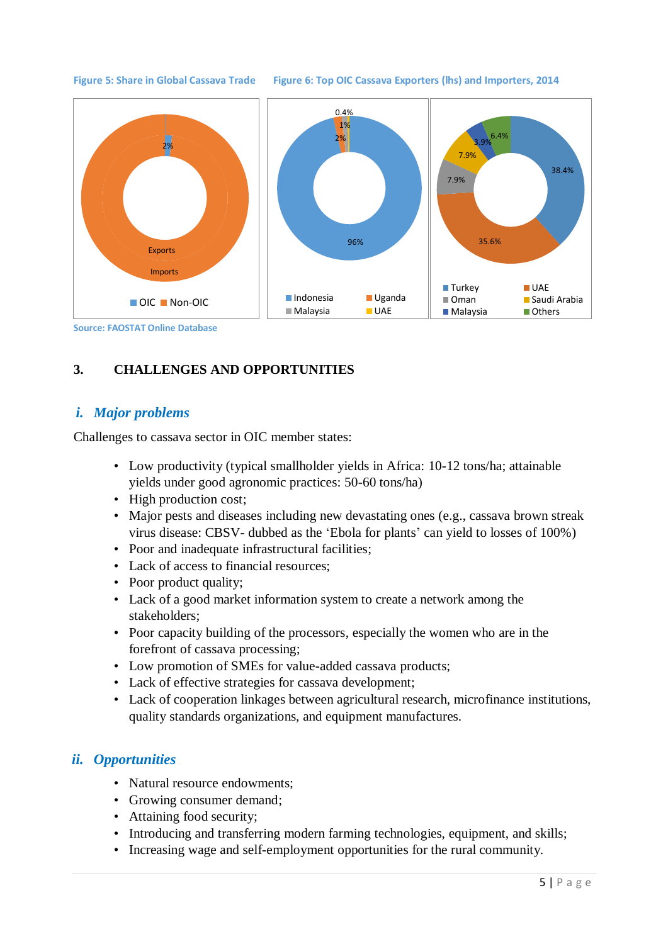#### **Figure 5: Share in Global Cassava Trade Figure 6: Top OIC Cassava Exporters (lhs) and Importers, 2014**



#### **3. CHALLENGES AND OPPORTUNITIES**

#### *i. Major problems*

Challenges to cassava sector in OIC member states:

- Low productivity (typical smallholder yields in Africa: 10-12 tons/ha; attainable yields under good agronomic practices: 50-60 tons/ha)
- High production cost;
- Major pests and diseases including new devastating ones (e.g., cassava brown streak virus disease: CBSV- dubbed as the 'Ebola for plants' can yield to losses of 100%)
- Poor and inadequate infrastructural facilities;
- Lack of access to financial resources;
- Poor product quality;
- Lack of a good market information system to create a network among the stakeholders;
- Poor capacity building of the processors, especially the women who are in the forefront of cassava processing;
- Low promotion of SMEs for value-added cassava products;
- Lack of effective strategies for cassava development;
- Lack of cooperation linkages between agricultural research, microfinance institutions, quality standards organizations, and equipment manufactures.

#### *ii. Opportunities*

- Natural resource endowments:
- Growing consumer demand;
- Attaining food security;
- Introducing and transferring modern farming technologies, equipment, and skills;
- Increasing wage and self-employment opportunities for the rural community.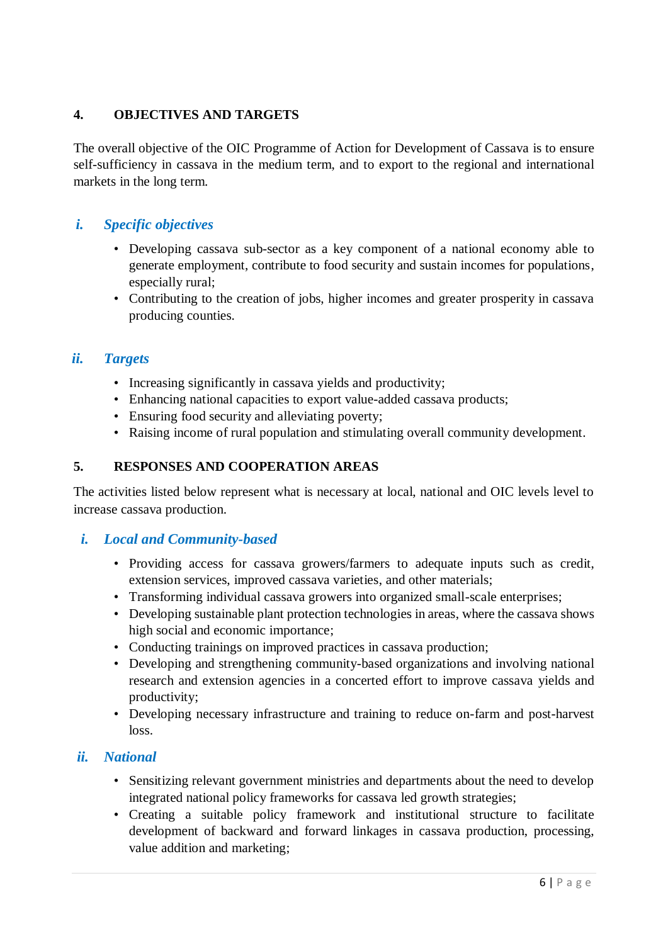#### **4. OBJECTIVES AND TARGETS**

The overall objective of the OIC Programme of Action for Development of Cassava is to ensure self-sufficiency in cassava in the medium term, and to export to the regional and international markets in the long term.

# *i. Specific objectives*

- Developing cassava sub-sector as a key component of a national economy able to generate employment, contribute to food security and sustain incomes for populations, especially rural;
- Contributing to the creation of jobs, higher incomes and greater prosperity in cassava producing counties.

#### *ii. Targets*

- Increasing significantly in cassava yields and productivity;
- Enhancing national capacities to export value-added cassava products;
- Ensuring food security and alleviating poverty;
- Raising income of rural population and stimulating overall community development.

#### **5. RESPONSES AND COOPERATION AREAS**

The activities listed below represent what is necessary at local, national and OIC levels level to increase cassava production.

#### *i. Local and Community-based*

- Providing access for cassava growers/farmers to adequate inputs such as credit, extension services, improved cassava varieties, and other materials;
- Transforming individual cassava growers into organized small-scale enterprises:
- Developing sustainable plant protection technologies in areas, where the cassava shows high social and economic importance;
- Conducting trainings on improved practices in cassava production;
- Developing and strengthening community-based organizations and involving national research and extension agencies in a concerted effort to improve cassava yields and productivity;
- Developing necessary infrastructure and training to reduce on-farm and post-harvest loss.

#### *ii. National*

- Sensitizing relevant government ministries and departments about the need to develop integrated national policy frameworks for cassava led growth strategies;
- Creating a suitable policy framework and institutional structure to facilitate development of backward and forward linkages in cassava production, processing, value addition and marketing;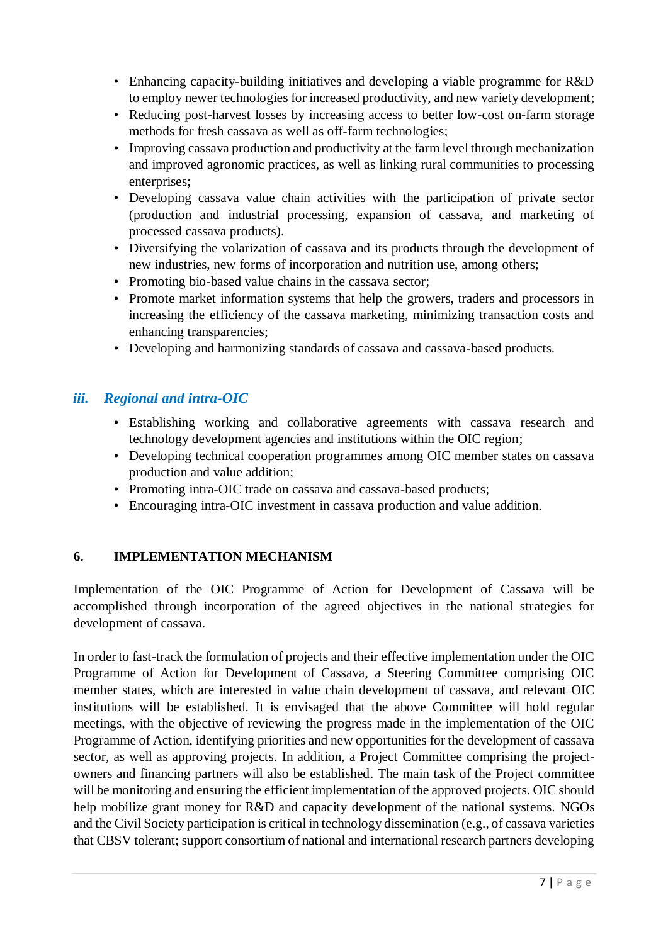- Enhancing capacity-building initiatives and developing a viable programme for R&D to employ newer technologies for increased productivity, and new variety development;
- Reducing post-harvest losses by increasing access to better low-cost on-farm storage methods for fresh cassava as well as off-farm technologies;
- Improving cassava production and productivity at the farm level through mechanization and improved agronomic practices, as well as linking rural communities to processing enterprises;
- Developing cassava value chain activities with the participation of private sector (production and industrial processing, expansion of cassava, and marketing of processed cassava products).
- Diversifying the volarization of cassava and its products through the development of new industries, new forms of incorporation and nutrition use, among others;
- Promoting bio-based value chains in the cassava sector;
- Promote market information systems that help the growers, traders and processors in increasing the efficiency of the cassava marketing, minimizing transaction costs and enhancing transparencies;
- Developing and harmonizing standards of cassava and cassava-based products.

### *iii. Regional and intra-OIC*

- Establishing working and collaborative agreements with cassava research and technology development agencies and institutions within the OIC region;
- Developing technical cooperation programmes among OIC member states on cassava production and value addition;
- Promoting intra-OIC trade on cassava and cassava-based products;
- Encouraging intra-OIC investment in cassava production and value addition.

### **6. IMPLEMENTATION MECHANISM**

Implementation of the OIC Programme of Action for Development of Cassava will be accomplished through incorporation of the agreed objectives in the national strategies for development of cassava.

In order to fast-track the formulation of projects and their effective implementation under the OIC Programme of Action for Development of Cassava, a Steering Committee comprising OIC member states, which are interested in value chain development of cassava, and relevant OIC institutions will be established. It is envisaged that the above Committee will hold regular meetings, with the objective of reviewing the progress made in the implementation of the OIC Programme of Action, identifying priorities and new opportunities for the development of cassava sector, as well as approving projects. In addition, a Project Committee comprising the projectowners and financing partners will also be established. The main task of the Project committee will be monitoring and ensuring the efficient implementation of the approved projects. OIC should help mobilize grant money for R&D and capacity development of the national systems. NGOs and the Civil Society participation is critical in technology dissemination (e.g., of cassava varieties that CBSV tolerant; support consortium of national and international research partners developing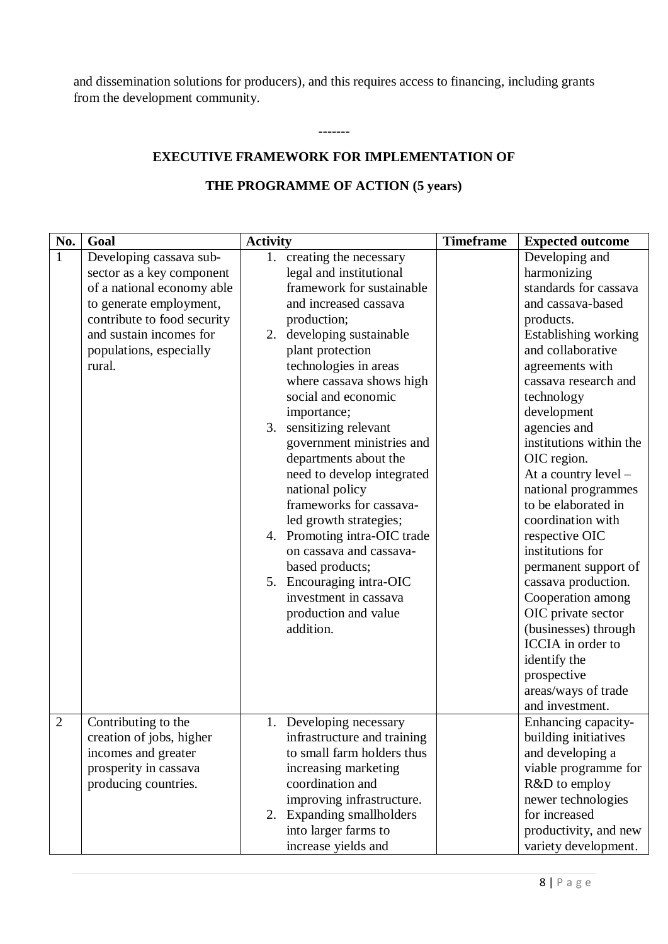and dissemination solutions for producers), and this requires access to financing, including grants from the development community.

-------

# **EXECUTIVE FRAMEWORK FOR IMPLEMENTATION OF**

# **THE PROGRAMME OF ACTION (5 years)**

| No.          | Goal                                                                                                                                                                                                         | <b>Activity</b>                                                                                                                                                                                                                                                                                                                                                                                                                                                                                                                                                                                                                         | <b>Timeframe</b> | <b>Expected outcome</b>                                                                                                                                                                                                                                                                                                                                                                                                                                                                                                                                                                               |
|--------------|--------------------------------------------------------------------------------------------------------------------------------------------------------------------------------------------------------------|-----------------------------------------------------------------------------------------------------------------------------------------------------------------------------------------------------------------------------------------------------------------------------------------------------------------------------------------------------------------------------------------------------------------------------------------------------------------------------------------------------------------------------------------------------------------------------------------------------------------------------------------|------------------|-------------------------------------------------------------------------------------------------------------------------------------------------------------------------------------------------------------------------------------------------------------------------------------------------------------------------------------------------------------------------------------------------------------------------------------------------------------------------------------------------------------------------------------------------------------------------------------------------------|
| $\mathbf{1}$ | Developing cassava sub-<br>sector as a key component<br>of a national economy able<br>to generate employment,<br>contribute to food security<br>and sustain incomes for<br>populations, especially<br>rural. | creating the necessary<br>1.<br>legal and institutional<br>framework for sustainable<br>and increased cassava<br>production;<br>2. developing sustainable<br>plant protection<br>technologies in areas<br>where cassava shows high<br>social and economic<br>importance;<br>3. sensitizing relevant<br>government ministries and<br>departments about the<br>need to develop integrated<br>national policy<br>frameworks for cassava-<br>led growth strategies;<br>4. Promoting intra-OIC trade<br>on cassava and cassava-<br>based products;<br>5. Encouraging intra-OIC<br>investment in cassava<br>production and value<br>addition. |                  | Developing and<br>harmonizing<br>standards for cassava<br>and cassava-based<br>products.<br>Establishing working<br>and collaborative<br>agreements with<br>cassava research and<br>technology<br>development<br>agencies and<br>institutions within the<br>OIC region.<br>At a country level -<br>national programmes<br>to be elaborated in<br>coordination with<br>respective OIC<br>institutions for<br>permanent support of<br>cassava production.<br>Cooperation among<br>OIC private sector<br>(businesses) through<br>ICCIA in order to<br>identify the<br>prospective<br>areas/ways of trade |
|              |                                                                                                                                                                                                              |                                                                                                                                                                                                                                                                                                                                                                                                                                                                                                                                                                                                                                         |                  | and investment.                                                                                                                                                                                                                                                                                                                                                                                                                                                                                                                                                                                       |
| 2            | Contributing to the<br>creation of jobs, higher<br>incomes and greater<br>prosperity in cassava<br>producing countries.                                                                                      | 1. Developing necessary<br>infrastructure and training<br>to small farm holders thus<br>increasing marketing<br>coordination and<br>improving infrastructure.<br>2. Expanding smallholders                                                                                                                                                                                                                                                                                                                                                                                                                                              |                  | Enhancing capacity-<br>building initiatives<br>and developing a<br>viable programme for<br>R&D to employ<br>newer technologies<br>for increased                                                                                                                                                                                                                                                                                                                                                                                                                                                       |
|              |                                                                                                                                                                                                              | into larger farms to<br>increase yields and                                                                                                                                                                                                                                                                                                                                                                                                                                                                                                                                                                                             |                  | productivity, and new<br>variety development.                                                                                                                                                                                                                                                                                                                                                                                                                                                                                                                                                         |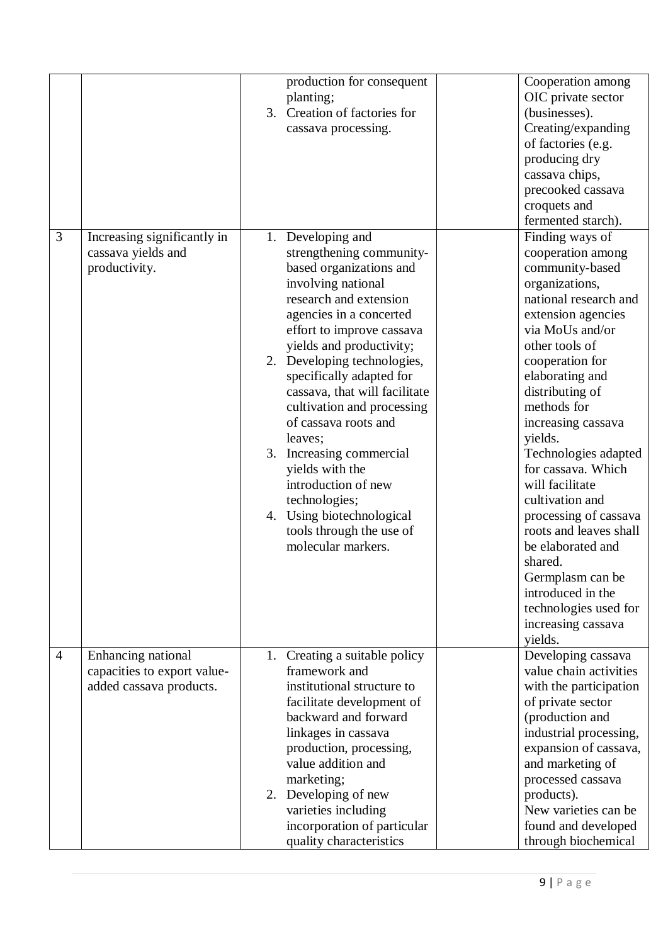|                |                                                                              | production for consequent<br>planting;<br>Creation of factories for<br>3.<br>cassava processing.                                                                                                                                                                                                                                                                                                                                                                                                                                                | Cooperation among<br>OIC private sector<br>(businesses).<br>Creating/expanding<br>of factories (e.g.<br>producing dry<br>cassava chips,<br>precooked cassava<br>croquets and<br>fermented starch).                                                                                                                                                                                                                                                                                                                                               |
|----------------|------------------------------------------------------------------------------|-------------------------------------------------------------------------------------------------------------------------------------------------------------------------------------------------------------------------------------------------------------------------------------------------------------------------------------------------------------------------------------------------------------------------------------------------------------------------------------------------------------------------------------------------|--------------------------------------------------------------------------------------------------------------------------------------------------------------------------------------------------------------------------------------------------------------------------------------------------------------------------------------------------------------------------------------------------------------------------------------------------------------------------------------------------------------------------------------------------|
| 3              | Increasing significantly in<br>cassava yields and<br>productivity.           | 1. Developing and<br>strengthening community-<br>based organizations and<br>involving national<br>research and extension<br>agencies in a concerted<br>effort to improve cassava<br>yields and productivity;<br>2. Developing technologies,<br>specifically adapted for<br>cassava, that will facilitate<br>cultivation and processing<br>of cassava roots and<br>leaves;<br>3. Increasing commercial<br>yields with the<br>introduction of new<br>technologies;<br>4. Using biotechnological<br>tools through the use of<br>molecular markers. | Finding ways of<br>cooperation among<br>community-based<br>organizations,<br>national research and<br>extension agencies<br>via MoUs and/or<br>other tools of<br>cooperation for<br>elaborating and<br>distributing of<br>methods for<br>increasing cassava<br>yields.<br>Technologies adapted<br>for cassava. Which<br>will facilitate<br>cultivation and<br>processing of cassava<br>roots and leaves shall<br>be elaborated and<br>shared.<br>Germplasm can be<br>introduced in the<br>technologies used for<br>increasing cassava<br>yields. |
| $\overline{4}$ | Enhancing national<br>capacities to export value-<br>added cassava products. | 1. Creating a suitable policy<br>framework and<br>institutional structure to<br>facilitate development of<br>backward and forward<br>linkages in cassava<br>production, processing,<br>value addition and<br>marketing;<br>2. Developing of new<br>varieties including<br>incorporation of particular<br>quality characteristics                                                                                                                                                                                                                | Developing cassava<br>value chain activities<br>with the participation<br>of private sector<br>(production and<br>industrial processing,<br>expansion of cassava,<br>and marketing of<br>processed cassava<br>products).<br>New varieties can be<br>found and developed<br>through biochemical                                                                                                                                                                                                                                                   |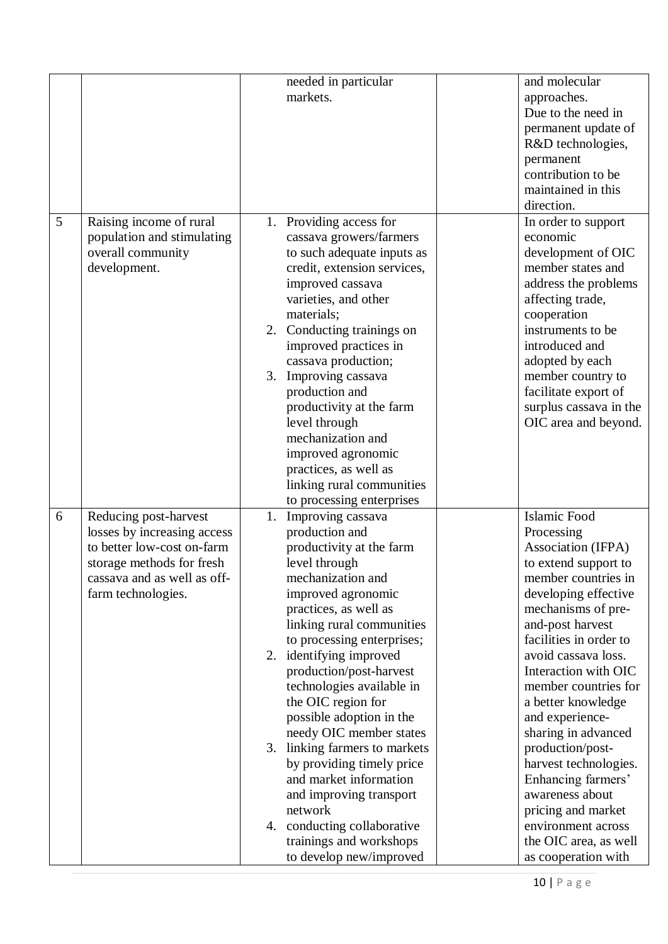|   |                                                          |    | needed in particular                            | and molecular                              |
|---|----------------------------------------------------------|----|-------------------------------------------------|--------------------------------------------|
|   |                                                          |    | markets.                                        | approaches.                                |
|   |                                                          |    |                                                 | Due to the need in                         |
|   |                                                          |    |                                                 | permanent update of                        |
|   |                                                          |    |                                                 | R&D technologies,                          |
|   |                                                          |    |                                                 | permanent                                  |
|   |                                                          |    |                                                 | contribution to be                         |
|   |                                                          |    |                                                 | maintained in this                         |
|   |                                                          |    |                                                 | direction.                                 |
| 5 | Raising income of rural                                  |    | 1. Providing access for                         | In order to support                        |
|   | population and stimulating                               |    | cassava growers/farmers                         | economic                                   |
|   | overall community                                        |    | to such adequate inputs as                      | development of OIC                         |
|   | development.                                             |    | credit, extension services,                     | member states and                          |
|   |                                                          |    | improved cassava                                | address the problems                       |
|   |                                                          |    | varieties, and other                            | affecting trade,                           |
|   |                                                          |    | materials;                                      | cooperation                                |
|   |                                                          |    | 2. Conducting trainings on                      | instruments to be                          |
|   |                                                          |    | improved practices in                           | introduced and                             |
|   |                                                          |    | cassava production;                             | adopted by each                            |
|   |                                                          | 3. | Improving cassava                               | member country to                          |
|   |                                                          |    | production and                                  | facilitate export of                       |
|   |                                                          |    | productivity at the farm                        | surplus cassava in the                     |
|   |                                                          |    | level through                                   | OIC area and beyond.                       |
|   |                                                          |    | mechanization and                               |                                            |
|   |                                                          |    |                                                 |                                            |
|   |                                                          |    | improved agronomic                              |                                            |
|   |                                                          |    | practices, as well as                           |                                            |
|   |                                                          |    | linking rural communities                       |                                            |
| 6 |                                                          |    | to processing enterprises                       | Islamic Food                               |
|   | Reducing post-harvest<br>losses by increasing access     | 1. | Improving cassava<br>production and             |                                            |
|   | to better low-cost on-farm                               |    | productivity at the farm                        | Processing<br>Association (IFPA)           |
|   |                                                          |    | level through                                   | to extend support to                       |
|   | storage methods for fresh<br>cassava and as well as off- |    | mechanization and                               | member countries in                        |
|   |                                                          |    |                                                 |                                            |
|   | farm technologies.                                       |    | improved agronomic                              | developing effective                       |
|   |                                                          |    | practices, as well as                           | mechanisms of pre-                         |
|   |                                                          |    | linking rural communities                       | and-post harvest<br>facilities in order to |
|   |                                                          |    | to processing enterprises;                      | avoid cassava loss.                        |
|   |                                                          |    | 2. identifying improved                         | Interaction with OIC                       |
|   |                                                          |    | production/post-harvest                         | member countries for                       |
|   |                                                          |    | technologies available in<br>the OIC region for |                                            |
|   |                                                          |    |                                                 | a better knowledge                         |
|   |                                                          |    | possible adoption in the                        | and experience-                            |
|   |                                                          |    | needy OIC member states                         | sharing in advanced                        |
|   |                                                          |    | 3. linking farmers to markets                   | production/post-                           |
|   |                                                          |    | by providing timely price                       | harvest technologies.                      |
|   |                                                          |    | and market information                          | Enhancing farmers'                         |
|   |                                                          |    | and improving transport                         | awareness about                            |
|   |                                                          |    | network                                         | pricing and market                         |
|   |                                                          |    | 4. conducting collaborative                     | environment across                         |
|   |                                                          |    | trainings and workshops                         | the OIC area, as well                      |
|   |                                                          |    | to develop new/improved                         | as cooperation with                        |